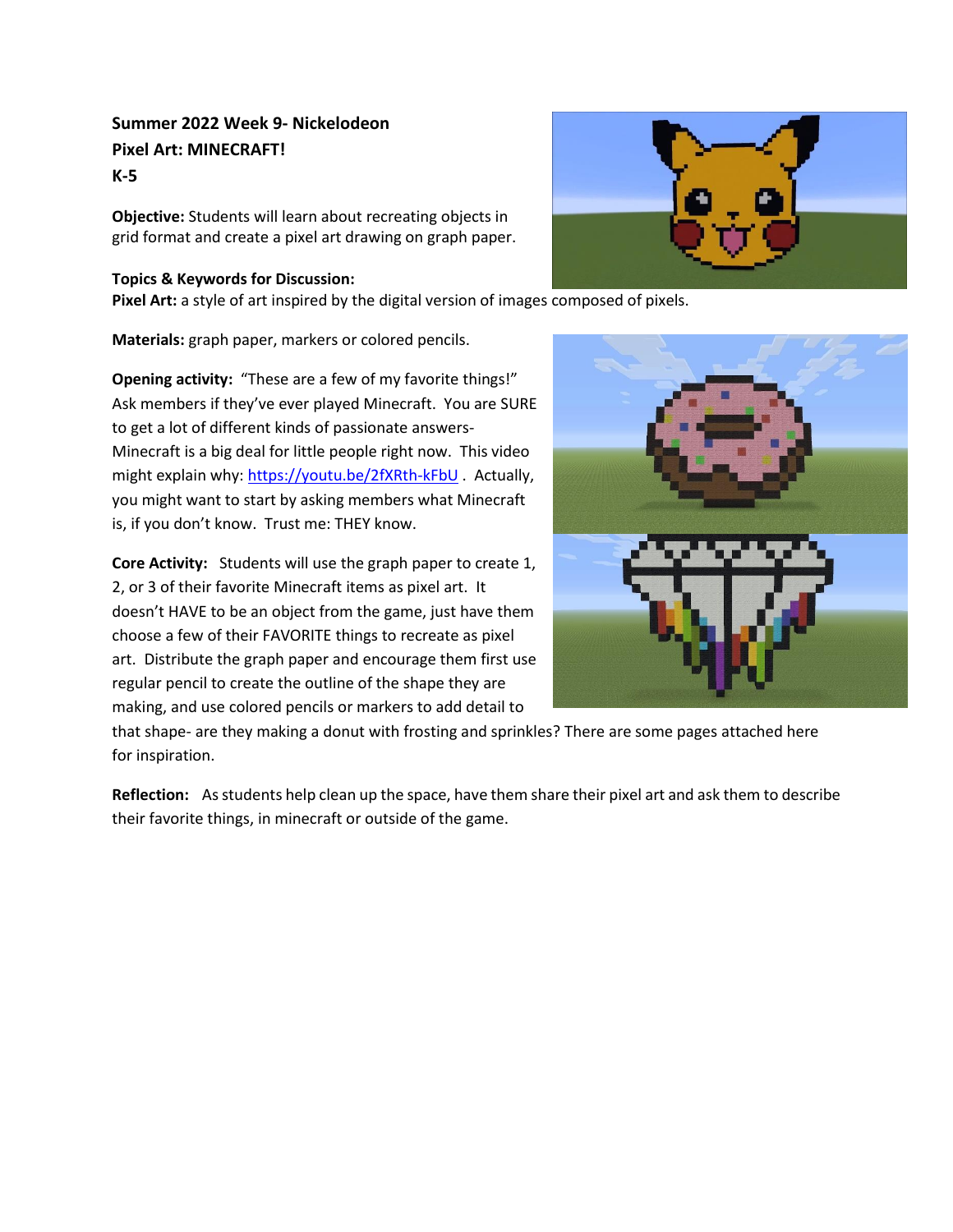## **Summer 2022 Week 9- Nickelodeon Pixel Art: MINECRAFT! K-5**

**Objective:** Students will learn about recreating objects in grid format and create a pixel art drawing on graph paper.

## **Topics & Keywords for Discussion:**

Pixel Art: a style of art inspired by the digital version of images composed of pixels.

**Materials:** graph paper, markers or colored pencils.

**Opening activity:** "These are a few of my favorite things!" Ask members if they've ever played Minecraft. You are SURE to get a lot of different kinds of passionate answers-Minecraft is a big deal for little people right now. This video might explain why:<https://youtu.be/2fXRth-kFbU> . Actually, you might want to start by asking members what Minecraft is, if you don't know. Trust me: THEY know.

**Core Activity:** Students will use the graph paper to create 1, 2, or 3 of their favorite Minecraft items as pixel art. It doesn't HAVE to be an object from the game, just have them choose a few of their FAVORITE things to recreate as pixel art. Distribute the graph paper and encourage them first use regular pencil to create the outline of the shape they are making, and use colored pencils or markers to add detail to

that shape- are they making a donut with frosting and sprinkles? There are some pages attached here for inspiration.

**Reflection:** As students help clean up the space, have them share their pixel art and ask them to describe their favorite things, in minecraft or outside of the game.



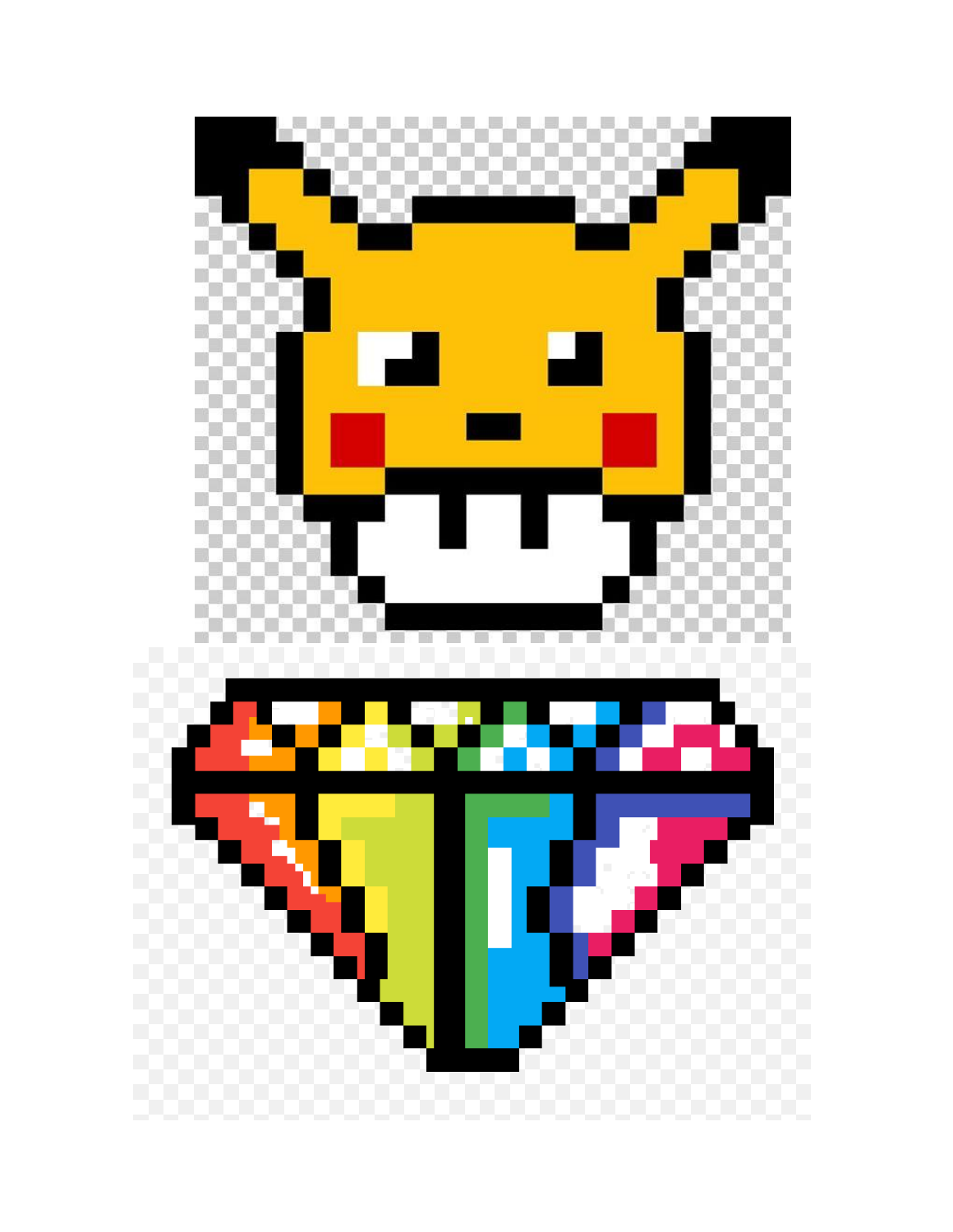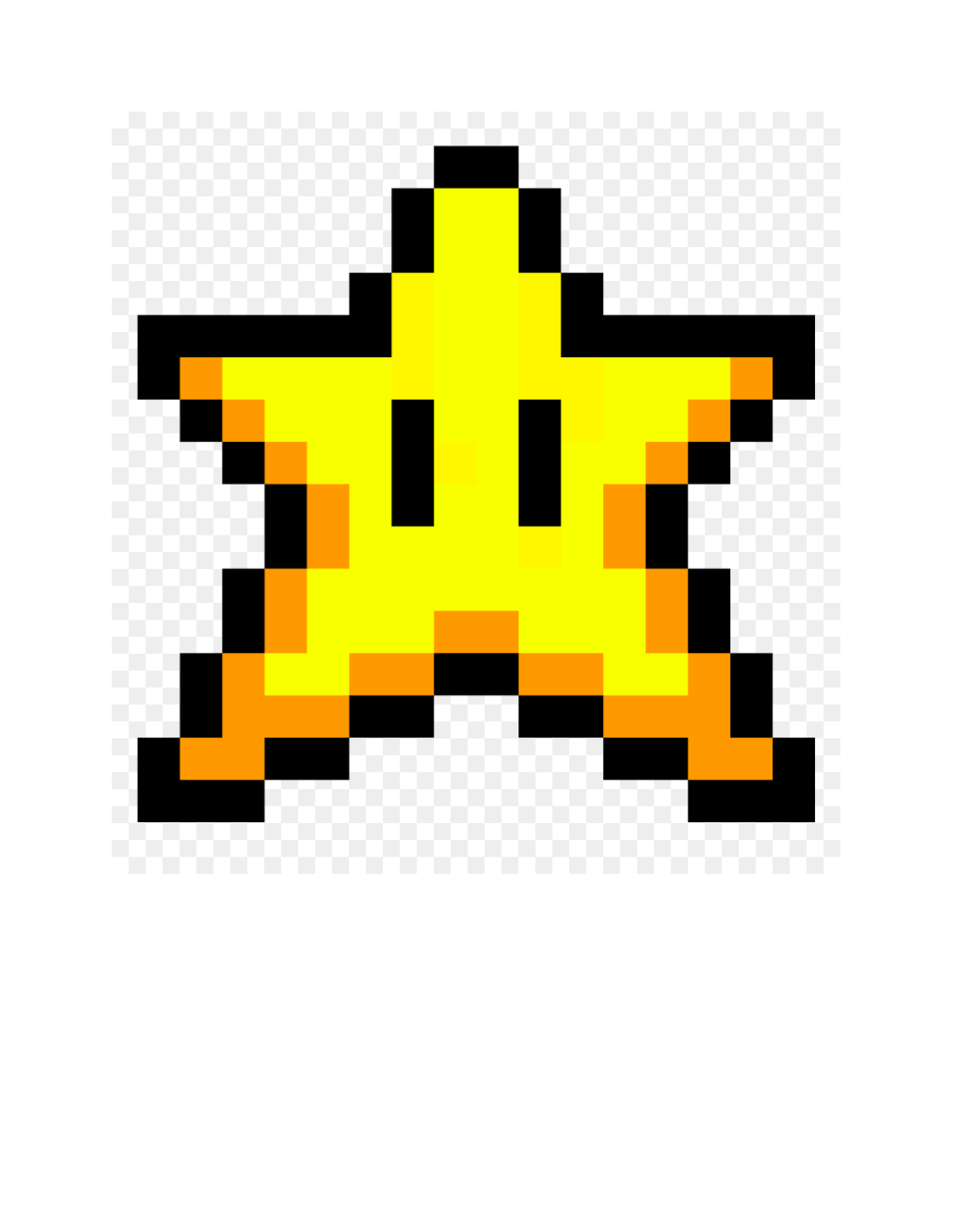